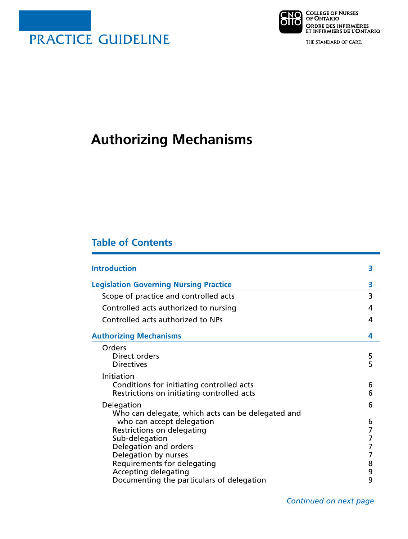



THE STANDARD OF CARE.

# **Authorizing Mechanisms**

# **Table of Contents**

| <b>Introduction</b>                                                                                     | 3                        |
|---------------------------------------------------------------------------------------------------------|--------------------------|
| <b>Legislation Governing Nursing Practice</b>                                                           | 3                        |
| Scope of practice and controlled acts                                                                   | 3                        |
| Controlled acts authorized to nursing                                                                   | 4                        |
| Controlled acts authorized to NPs                                                                       | 4                        |
| <b>Authorizing Mechanisms</b>                                                                           | 4                        |
| Orders<br>Direct orders<br><b>Directives</b>                                                            | 5<br>5                   |
| Initiation<br>Conditions for initiating controlled acts<br>Restrictions on initiating controlled acts   | 6<br>6                   |
| Delegation<br>Who can delegate, which acts can be delegated and                                         | 6                        |
| who can accept delegation<br>Restrictions on delegating<br>Sub-delegation                               | 6<br>$\overline{7}$<br>7 |
| Delegation and orders<br>Delegation by nurses                                                           | $\overline{7}$<br>7      |
| Requirements for delegating<br><b>Accepting delegating</b><br>Documenting the particulars of delegation | 8<br>9<br>9              |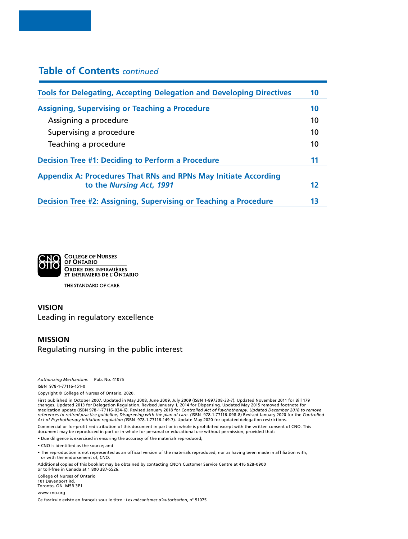# **Table of Contents** *continued*

| <b>Tools for Delegating, Accepting Delegation and Developing Directives</b> |                   |
|-----------------------------------------------------------------------------|-------------------|
| <b>Assigning, Supervising or Teaching a Procedure</b>                       | 10                |
| Assigning a procedure                                                       | 10                |
| Supervising a procedure                                                     | 10                |
| Teaching a procedure                                                        | 10                |
| <b>Decision Tree #1: Deciding to Perform a Procedure</b>                    | 11                |
| <b>Appendix A: Procedures That RNs and RPNs May Initiate According</b>      |                   |
| to the Nursing Act, 1991                                                    | $12 \ \mathsf{S}$ |
| Decision Tree #2: Assigning, Supervising or Teaching a Procedure            | 13                |



THE STANDARD OF CARE.

# **VISION** Leading in regulatory excellence

#### **MISSION**

Regulating nursing in the public interest

*Authorizing Mechanisms* Pub. No. 41075

ISBN 978-1-77116-151-0

Copyright © College of Nurses of Ontario, 2020.

First published in October 2007. Updated in May 2008, June 2009, July 2009 (ISBN 1-897308-33-7). Updated November 2011 for Bill 179 changes. Updated 2013 for Delegation Regulation. Revised January 1, 2014 for Dispensing. Updated May 2015 removed footnote for<br>medication update (ISBN 978-1-77116-034-6). Revised January 2018 for Controlled Act of Psychoth *Act of Psychotherapy initiation regulation (*ISBN 978-1-77116-149-7)*.* Update May 2020 for updated delegation restrictions.

Commercial or for-profit redistribution of this document in part or in whole is prohibited except with the written consent of CNO. This document may be reproduced in part or in whole for personal or educational use without permission, provided that:

• Due diligence is exercised in ensuring the accuracy of the materials reproduced;

• CNO is identified as the source; and

• The reproduction is not represented as an official version of the materials reproduced, nor as having been made in affiliation with, or with the endorsement of, CNO.

Additional copies of this booklet may be obtained by contacting CNO's Customer Service Centre at 416 928-0900 or toll-free in Canada at 1 800 387-5526.

College of Nurses of Ontario 101 Davenport Rd. Toronto, ON M5R 3P1

www.cno.org

Ce fascicule existe en français sous le titre : *Les mécanismes d'autorisation*, n° 51075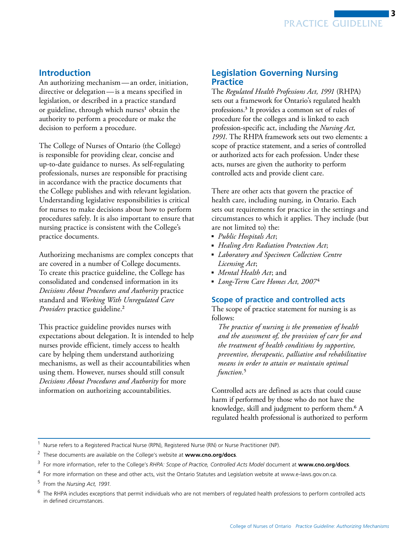

# **Introduction**

An authorizing mechanism—an order, initiation, directive or delegation—is a means specified in legislation, or described in a practice standard or guideline, through which nurses<sup>1</sup> obtain the authority to perform a procedure or make the decision to perform a procedure.

The College of Nurses of Ontario (the College) is responsible for providing clear, concise and up-to-date guidance to nurses. As self-regulating professionals, nurses are responsible for practising in accordance with the practice documents that the College publishes and with relevant legislation. Understanding legislative responsibilities is critical for nurses to make decisions about how to perform procedures safely. It is also important to ensure that nursing practice is consistent with the College's practice documents.

Authorizing mechanisms are complex concepts that are covered in a number of College documents. To create this practice guideline, the College has consolidated and condensed information in its *Decisions About Procedures and Authority* practice standard and *Working With Unregulated Care Providers* practice guideline.<sup>2</sup>

This practice guideline provides nurses with expectations about delegation. It is intended to help nurses provide efficient, timely access to health care by helping them understand authorizing mechanisms, as well as their accountabilities when using them. However, nurses should still consult *Decisions About Procedures and Authority* for more information on authorizing accountabilities.

# **Legislation Governing Nursing Practice**

The *Regulated Health Professions Act, 1991* (RHPA) sets out a framework for Ontario's regulated health professions.3 It provides a common set of rules of procedure for the colleges and is linked to each profession-specific act, including the *Nursing Act, 1991*. The RHPA framework sets out two elements: a scope of practice statement, and a series of controlled or authorized acts for each profession. Under these acts, nurses are given the authority to perform controlled acts and provide client care.

There are other acts that govern the practice of health care, including nursing, in Ontario. Each sets out requirements for practice in the settings and circumstances to which it applies. They include (but are not limited to) the:

- *Public Hospitals Act*;
- ■ *Healing Arts Radiation Protection Act*;
- *Laboratory and Specimen Collection Centre Licensing Act*;
- *Mental Health Act*; and
- *Long-Term Care Homes Act, 2007<sup>4</sup>*

#### **Scope of practice and controlled acts**

The scope of practice statement for nursing is as follows:

*The practice of nursing is the promotion of health and the assessment of, the provision of care for and the treatment of health conditions by supportive, preventive, therapeutic, palliative and rehabilitative means in order to attain or maintain optimal function.*5

Controlled acts are defined as acts that could cause harm if performed by those who do not have the knowledge, skill and judgment to perform them.<sup>6</sup> A regulated health professional is authorized to perform

<sup>1</sup> Nurse refers to a Registered Practical Nurse (RPN), Registered Nurse (RN) or Nurse Practitioner (NP).

<sup>2</sup> These documents are available on the College's website at **www.cno.org/docs**.

<sup>3</sup> For more information, refer to the College's *RHPA: Scope of Practice, Controlled Acts Model* document at **www.cno.org/docs**.

<sup>4</sup> For more information on these and other acts, visit the Ontario Statutes and Legislation website at www.e-laws.gov.on.ca.

<sup>5</sup> From the *Nursing Act, 1991.* 

 $^6$  The RHPA includes exceptions that permit individuals who are not members of regulated health professions to perform controlled acts in defined circumstances.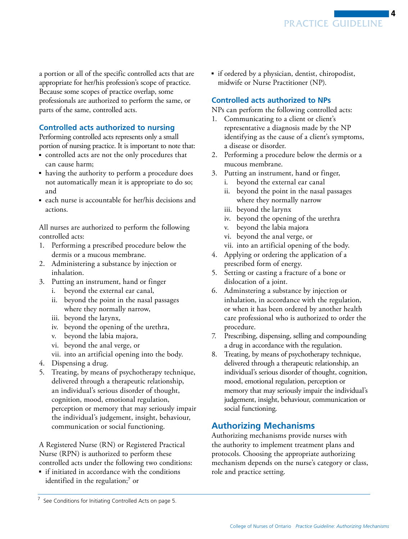a portion or all of the specific controlled acts that are appropriate for her/his profession's scope of practice. Because some scopes of practice overlap, some professionals are authorized to perform the same, or parts of the same, controlled acts.

# **Controlled acts authorized to nursing**

Performing controlled acts represents only a small portion of nursing practice. It is important to note that:

- controlled acts are not the only procedures that can cause harm;
- having the authority to perform a procedure does not automatically mean it is appropriate to do so; and
- each nurse is accountable for her/his decisions and actions.

All nurses are authorized to perform the following controlled acts:

- 1. Performing a prescribed procedure below the dermis or a mucous membrane.
- 2. Administering a substance by injection or inhalation.
- 3. Putting an instrument, hand or finger
	- i. beyond the external ear canal,
	- ii. beyond the point in the nasal passages where they normally narrow,
	- iii. beyond the larynx,
	- iv. beyond the opening of the urethra,
	- v. beyond the labia majora,
	- vi. beyond the anal verge, or
	- vii. into an artificial opening into the body.
- 4. Dispensing a drug.
- 5. Treating, by means of psychotherapy technique, delivered through a therapeutic relationship, an individual's serious disorder of thought, cognition, mood, emotional regulation, perception or memory that may seriously impair the individual's judgement, insight, behaviour, communication or social functioning.

A Registered Nurse (RN) or Registered Practical Nurse (RPN) is authorized to perform these controlled acts under the following two conditions:

■ if initiated in accordance with the conditions identified in the regulation;<sup>7</sup> or

■ if ordered by a physician, dentist, chiropodist, midwife or Nurse Practitioner (NP).

# **Controlled acts authorized to NPs**

NPs can perform the following controlled acts:

- 1. Communicating to a client or client's representative a diagnosis made by the NP identifying as the cause of a client's symptoms, a disease or disorder.
- 2. Performing a procedure below the dermis or a mucous membrane.
- 3. Putting an instrument, hand or finger,
	- i. beyond the external ear canal
	- ii. beyond the point in the nasal passages where they normally narrow
	- iii. beyond the larynx
	- iv. beyond the opening of the urethra
	- v. beyond the labia majora
	- vi. beyond the anal verge, or
	- vii. into an artificial opening of the body.
- 4. Applying or ordering the application of a prescribed form of energy.
- 5. Setting or casting a fracture of a bone or dislocation of a joint.
- 6. Adminstering a substance by injection or inhalation, in accordance with the regulation, or when it has been ordered by another health care professional who is authorized to order the procedure.
- 7. Prescribing, dispensing, selling and compounding a drug in accordance with the regulation.
- 8. Treating, by means of psychotherapy technique, delivered through a therapeutic relationship, an individual's serious disorder of thought, cognition, mood, emotional regulation, perception or memory that may seriously impair the individual's judgement, insight, behaviour, communication or social functioning.

# **Authorizing Mechanisms**

Authorizing mechanisms provide nurses with the authority to implement treatment plans and protocols. Choosing the appropriate authorizing mechanism depends on the nurse's category or class, role and practice setting.

 $7$  See Conditions for Initiating Controlled Acts on page 5.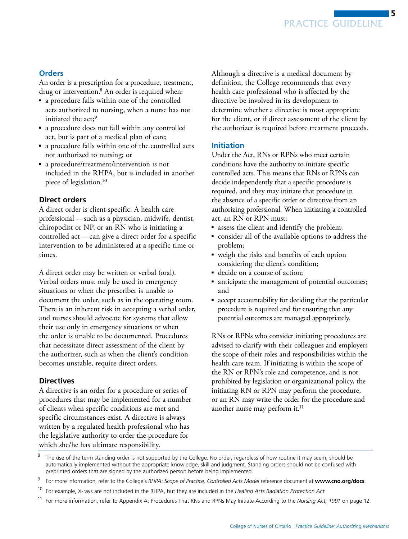# **Orders**

An order is a prescription for a procedure, treatment, drug or intervention.<sup>8</sup> An order is required when:

- a procedure falls within one of the controlled acts authorized to nursing, when a nurse has not initiated the act;<sup>9</sup>
- a procedure does not fall within any controlled act, but is part of a medical plan of care;
- a procedure falls within one of the controlled acts not authorized to nursing; or
- a procedure/treatment/intervention is not included in the RHPA, but is included in another piece of legislation.10

## **Direct orders**

A direct order is client-specific. A health care professional—such as a physician, midwife, dentist, chiropodist or NP, or an RN who is initiating a controlled act—can give a direct order for a specific intervention to be administered at a specific time or times.

A direct order may be written or verbal (oral). Verbal orders must only be used in emergency situations or when the prescriber is unable to document the order, such as in the operating room. There is an inherent risk in accepting a verbal order, and nurses should advocate for systems that allow their use only in emergency situations or when the order is unable to be documented. Procedures that necessitate direct assessment of the client by the authorizer, such as when the client's condition becomes unstable, require direct orders.

#### **Directives**

A directive is an order for a procedure or series of procedures that may be implemented for a number of clients when specific conditions are met and specific circumstances exist. A directive is always written by a regulated health professional who has the legislative authority to order the procedure for which she/he has ultimate responsibility.

Although a directive is a medical document by definition, the College recommends that every health care professional who is affected by the directive be involved in its development to determine whether a directive is most appropriate for the client, or if direct assessment of the client by the authorizer is required before treatment proceeds.

#### **Initiation**

Under the Act, RNs or RPNs who meet certain conditions have the authority to initiate specific controlled acts. This means that RNs or RPNs can decide independently that a specific procedure is required, and they may initiate that procedure in the absence of a specific order or directive from an authorizing professional. When initiating a controlled act, an RN or RPN must:

- assess the client and identify the problem;
- consider all of the available options to address the problem;
- weigh the risks and benefits of each option considering the client's condition;
- decide on a course of action;
- anticipate the management of potential outcomes; and
- accept accountability for deciding that the particular procedure is required and for ensuring that any potential outcomes are managed appropriately.

RNs or RPNs who consider initiating procedures are advised to clarify with their colleagues and employers the scope of their roles and responsibilities within the health care team. If initiating is within the scope of the RN or RPN's role and competence, and is not prohibited by legislation or organizational policy, the initiating RN or RPN may perform the procedure, or an RN may write the order for the procedure and another nurse may perform it.<sup>11</sup>

The use of the term standing order is not supported by the College. No order, regardless of how routine it may seem, should be automatically implemented without the appropriate knowledge, skill and judgment. Standing orders should not be confused with preprinted orders that are signed by the authorized person before being implemented.

<sup>9</sup> For more information, refer to the College's *RHPA: Scope of Practice, Controlled Acts Model* reference document at **www.cno.org/docs**.

<sup>10</sup> For example, X-rays are not included in the RHPA, but they are included in the *Healing Arts Radiation Protection Act.*

<sup>11</sup> For more information, refer to Appendix A: Procedures That RNs and RPNs May Initiate According to the *Nursing Act, 1991* on page 12.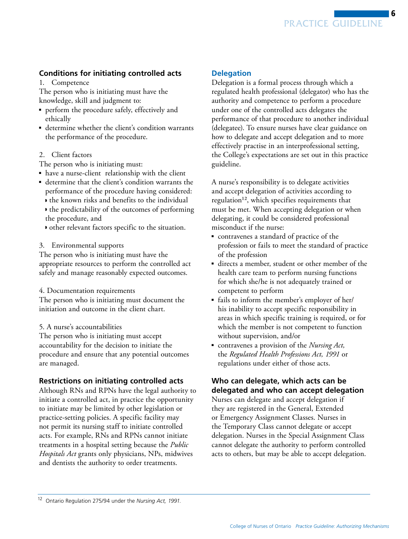PRACTICE GUIDELINE

6

# **Conditions for initiating controlled acts**

1. Competence

The person who is initiating must have the knowledge, skill and judgment to:

- ■ perform the procedure safely, effectively and ethically
- determine whether the client's condition warrants the performance of the procedure.
- 2. Client factors

The person who is initiating must:

- ■ have a nurse-client relationship with the client
- ■ determine that the client's condition warrants the performance of the procedure having considered: ◗ the known risks and benefits to the individual
	- ◗ the predictability of the outcomes of performing the procedure, and
	- ◗ other relevant factors specific to the situation.
- 3. Environmental supports

The person who is initiating must have the appropriate resources to perform the controlled act safely and manage reasonably expected outcomes.

4. Documentation requirements

The person who is initiating must document the initiation and outcome in the client chart.

5. A nurse's accountabilities

The person who is initiating must accept accountability for the decision to initiate the procedure and ensure that any potential outcomes are managed.

#### **Restrictions on initiating controlled acts**

Although RNs and RPNs have the legal authority to initiate a controlled act, in practice the opportunity to initiate may be limited by other legislation or practice-setting policies. A specific facility may not permit its nursing staff to initiate controlled acts. For example, RNs and RPNs cannot initiate treatments in a hospital setting because the *Public Hospitals Act* grants only physicians, NPs, midwives and dentists the authority to order treatments.

## **Delegation**

Delegation is a formal process through which a regulated health professional (delegator) who has the authority and competence to perform a procedure under one of the controlled acts delegates the performance of that procedure to another individual (delegatee). To ensure nurses have clear guidance on how to delegate and accept delegation and to more effectively practise in an interprofessional setting, the College's expectations are set out in this practice guideline.

A nurse's responsibility is to delegate activities and accept delegation of activities according to regulation<sup>12</sup>, which specifies requirements that must be met. When accepting delegation or when delegating, it could be considered professional misconduct if the nurse:

- contravenes a standard of practice of the profession or fails to meet the standard of practice of the profession
- directs a member, student or other member of the health care team to perform nursing functions for which she/he is not adequately trained or competent to perform
- fails to inform the member's employer of her/ his inability to accept specific responsibility in areas in which specific training is required, or for which the member is not competent to function without supervision, and/or
- contravenes a provision of the *Nursing Act*, the *Regulated Health Professions Act, 1991* or regulations under either of those acts.

# **Who can delegate, which acts can be delegated and who can accept delegation**

Nurses can delegate and accept delegation if they are registered in the General, Extended or Emergency Assignment Classes. Nurses in the Temporary Class cannot delegate or accept delegation. Nurses in the Special Assignment Class cannot delegate the authority to perform controlled acts to others, but may be able to accept delegation.

<sup>12</sup> Ontario Regulation 275/94 under the *Nursing Act, 1991*.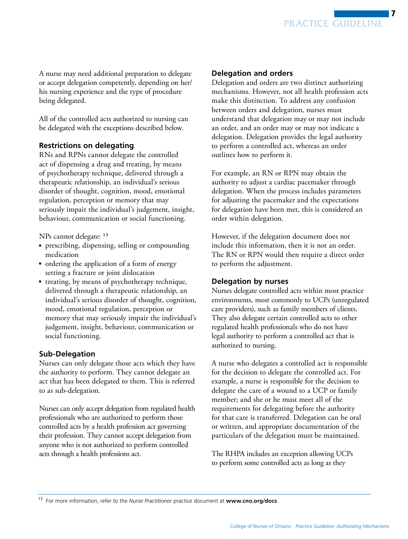

A nurse may need additional preparation to delegate or accept delegation competently, depending on her/ his nursing experience and the type of procedure being delegated.

All of the controlled acts authorized to nursing can be delegated with the exceptions described below.

## **Restrictions on delegating**

RNs and RPNs cannot delegate the controlled act of dispensing a drug and treating, by means of psychotherapy technique, delivered through a therapeutic relationship, an individual's serious disorder of thought, cognition, mood, emotional regulation, perception or memory that may seriously impair the individual's judgement, insight, behaviour, communication or social functioning.

NPs cannot delegate: 13

- prescribing, dispensing, selling or compounding medication
- ■ ordering the application of a form of energy setting a fracture or joint dislocation
- treating, by means of psychotherapy technique, delivered through a therapeutic relationship, an individual's serious disorder of thought, cognition, mood, emotional regulation, perception or memory that may seriously impair the individual's judgement, insight, behaviour, communication or social functioning.

#### **Sub-Delegation**

Nurses can only delegate those acts which they have the authority to perform. They cannot delegate an act that has been delegated to them. This is referred to as sub-delegation.

Nurses can only accept delegation from regulated health professionals who are authorized to perform those controlled acts by a health profession act governing their profession. They cannot accept delegation from anyone who is not authorized to perform controlled acts through a health professions act.

## **Delegation and orders**

Delegation and orders are two distinct authorizing mechanisms. However, not all health profession acts make this distinction. To address any confusion between orders and delegation, nurses must understand that delegation may or may not include an order, and an order may or may not indicate a delegation. Delegation provides the legal authority to perform a controlled act, whereas an order outlines how to perform it.

For example, an RN or RPN may obtain the authority to adjust a cardiac pacemaker through delegation. When the process includes parameters for adjusting the pacemaker and the expectations for delegation have been met, this is considered an order within delegation.

However, if the delegation document does not include this information, then it is not an order. The RN or RPN would then require a direct order to perform the adjustment.

#### **Delegation by nurses**

Nurses delegate controlled acts within most practice environments, most commonly to UCPs (unregulated care providers), such as family members of clients. They also delegate certain controlled acts to other regulated health professionals who do not have legal authority to perform a controlled act that is authorized to nursing.

A nurse who delegates a controlled act is responsible for the decision to delegate the controlled act. For example, a nurse is responsible for the decision to delegate the care of a wound to a UCP or family member; and she or he must meet all of the requirements for delegating before the authority for that care is transferred. Delegation can be oral or written, and appropriate documentation of the particulars of the delegation must be maintained.

The RHPA includes an exception allowing UCPs to perform some controlled acts as long as they

<sup>13</sup> For more information, refer to the *Nurse Practitioner* practice document at **www.cno.org/docs**.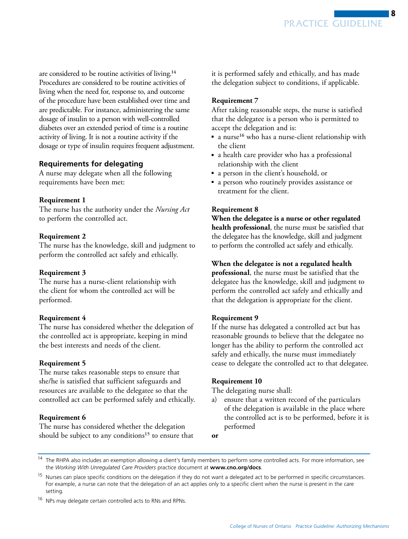are considered to be routine activities of living.<sup>14</sup> Procedures are considered to be routine activities of living when the need for, response to, and outcome of the procedure have been established over time and are predictable. For instance, administering the same dosage of insulin to a person with well-controlled diabetes over an extended period of time is a routine activity of living. It is not a routine activity if the dosage or type of insulin requires frequent adjustment.

# **Requirements for delegating**

A nurse may delegate when all the following requirements have been met:

#### **Requirement 1**

The nurse has the authority under the *Nursing Act* to perform the controlled act.

#### **Requirement 2**

The nurse has the knowledge, skill and judgment to perform the controlled act safely and ethically.

#### **Requirement 3**

The nurse has a nurse-client relationship with the client for whom the controlled act will be performed.

#### **Requirement 4**

The nurse has considered whether the delegation of the controlled act is appropriate, keeping in mind the best interests and needs of the client.

#### **Requirement 5**

The nurse takes reasonable steps to ensure that she/he is satisfied that sufficient safeguards and resources are available to the delegatee so that the controlled act can be performed safely and ethically.

#### **Requirement 6**

The nurse has considered whether the delegation should be subject to any conditions<sup>15</sup> to ensure that it is performed safely and ethically, and has made the delegation subject to conditions, if applicable.

#### **Requirement 7**

After taking reasonable steps, the nurse is satisfied that the delegatee is a person who is permitted to accept the delegation and is:

- a nurse16 who has a nurse-client relationship with the client
- a health care provider who has a professional relationship with the client
- a person in the client's household, or
- a person who routinely provides assistance or treatment for the client.

#### **Requirement 8**

**When the delegatee is a nurse or other regulated health professional**, the nurse must be satisfied that the delegatee has the knowledge, skill and judgment to perform the controlled act safely and ethically.

**When the delegatee is not a regulated health** 

**professional**, the nurse must be satisfied that the delegatee has the knowledge, skill and judgment to perform the controlled act safely and ethically and that the delegation is appropriate for the client.

#### **Requirement 9**

If the nurse has delegated a controlled act but has reasonable grounds to believe that the delegatee no longer has the ability to perform the controlled act safely and ethically, the nurse must immediately cease to delegate the controlled act to that delegatee.

#### **Requirement 10**

The delegating nurse shall:

- a) ensure that a written record of the particulars of the delegation is available in the place where the controlled act is to be performed, before it is performed
- **or**

<sup>&</sup>lt;sup>14</sup> The RHPA also includes an exemption allowing a client's family members to perform some controlled acts. For more information, see the *Working With Unregulated Care Providers* practice document at **www.cno.org/docs**.

<sup>&</sup>lt;sup>15</sup> Nurses can place specific conditions on the delegation if they do not want a delegated act to be performed in specific circumstances. For example, a nurse can note that the delegation of an act applies only to a specific client when the nurse is present in the care setting*.*

<sup>&</sup>lt;sup>16</sup> NPs may delegate certain controlled acts to RNs and RPNs.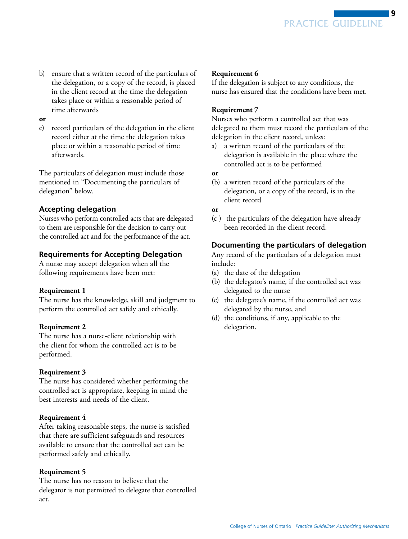b) ensure that a written record of the particulars of the delegation, or a copy of the record, is placed in the client record at the time the delegation takes place or within a reasonable period of time afterwards

#### **or**

c) record particulars of the delegation in the client record either at the time the delegation takes place or within a reasonable period of time afterwards.

The particulars of delegation must include those mentioned in "Documenting the particulars of delegation" below.

## **Accepting delegation**

Nurses who perform controlled acts that are delegated to them are responsible for the decision to carry out the controlled act and for the performance of the act.

# **Requirements for Accepting Delegation**

A nurse may accept delegation when all the following requirements have been met:

#### **Requirement 1**

The nurse has the knowledge, skill and judgment to perform the controlled act safely and ethically.

#### **Requirement 2**

The nurse has a nurse-client relationship with the client for whom the controlled act is to be performed.

#### **Requirement 3**

The nurse has considered whether performing the controlled act is appropriate, keeping in mind the best interests and needs of the client.

#### **Requirement 4**

After taking reasonable steps, the nurse is satisfied that there are sufficient safeguards and resources available to ensure that the controlled act can be performed safely and ethically.

#### **Requirement 5**

The nurse has no reason to believe that the delegator is not permitted to delegate that controlled act.

#### **Requirement 6**

If the delegation is subject to any conditions, the nurse has ensured that the conditions have been met.

#### **Requirement 7**

Nurses who perform a controlled act that was delegated to them must record the particulars of the delegation in the client record, unless:

a) a written record of the particulars of the delegation is available in the place where the controlled act is to be performed

#### **or**

- (b) a written record of the particulars of the delegation, or a copy of the record, is in the client record
- **or**
- (c ) the particulars of the delegation have already been recorded in the client record.

# **Documenting the particulars of delegation**

Any record of the particulars of a delegation must include:

- (a) the date of the delegation
- (b) the delegator's name, if the controlled act was delegated to the nurse
- (c) the delegatee's name, if the controlled act was delegated by the nurse, and
- (d) the conditions, if any, applicable to the delegation.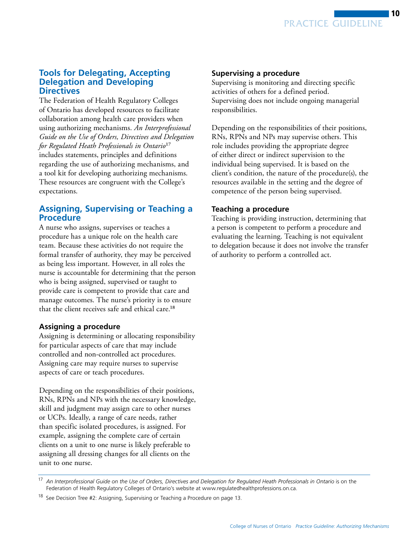

# **Tools for Delegating, Accepting Delegation and Developing Directives**

The Federation of Health Regulatory Colleges of Ontario has developed resources to facilitate collaboration among health care providers when using authorizing mechanisms. *An Interprofessional Guide on the Use of Orders, Directives and Delegation for Regulated Heath Professionals in Ontario*17 includes statements, principles and definitions regarding the use of authorizing mechanisms, and a tool kit for developing authorizing mechanisms. These resources are congruent with the College's expectations.

# **Assigning, Supervising or Teaching a Procedure**

A nurse who assigns, supervises or teaches a procedure has a unique role on the health care team. Because these activities do not require the formal transfer of authority, they may be perceived as being less important. However, in all roles the nurse is accountable for determining that the person who is being assigned, supervised or taught to provide care is competent to provide that care and manage outcomes. The nurse's priority is to ensure that the client receives safe and ethical care.18

# **Assigning a procedure**

Assigning is determining or allocating responsibility for particular aspects of care that may include controlled and non-controlled act procedures. Assigning care may require nurses to supervise aspects of care or teach procedures.

Depending on the responsibilities of their positions, RNs, RPNs and NPs with the necessary knowledge, skill and judgment may assign care to other nurses or UCPs. Ideally, a range of care needs, rather than specific isolated procedures, is assigned. For example, assigning the complete care of certain clients on a unit to one nurse is likely preferable to assigning all dressing changes for all clients on the unit to one nurse.

# **Supervising a procedure**

Supervising is monitoring and directing specific activities of others for a defined period. Supervising does not include ongoing managerial responsibilities.

Depending on the responsibilities of their positions, RNs, RPNs and NPs may supervise others. This role includes providing the appropriate degree of either direct or indirect supervision to the individual being supervised. It is based on the client's condition, the nature of the procedure(s), the resources available in the setting and the degree of competence of the person being supervised.

## **Teaching a procedure**

Teaching is providing instruction, determining that a person is competent to perform a procedure and evaluating the learning. Teaching is not equivalent to delegation because it does not involve the transfer of authority to perform a controlled act.

<sup>17</sup> *An Interprofessional Guide on the Use of Orders, Directives and Delegation for Regulated Heath Professionals in Ontario* is on the Federation of Health Regulatory Colleges of Ontario's website at www.regulatedhealthprofessions.on.ca.

<sup>&</sup>lt;sup>18</sup> See Decision Tree #2: Assigning, Supervising or Teaching a Procedure on page 13.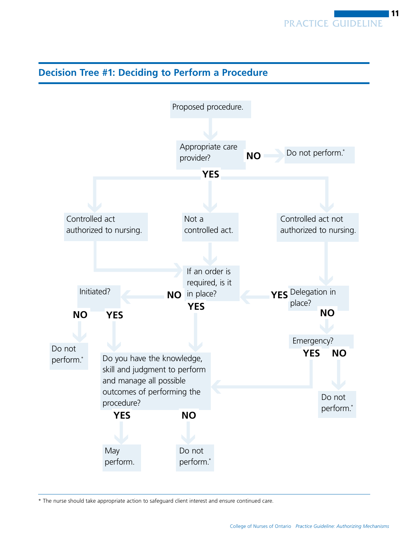# Appropriate care provider? Proposed procedure. Emergency? Do not perform.<sup>\*</sup> Not a controlled act. Controlled act not authorized to nursing. **May** perform. Controlled act authorized to nursing. Do you have the knowledge, skill and judgment to perform and manage all possible outcomes of performing the procedure? If an order is required, is it YES<sup>Delegation in</sup> place? Initiated? Do not perform.\* Do not perform.\* Do not perform.\* **YES NO NO** in place? **YES NO YES YES NO NO YES NO**

**Decision Tree #1: Deciding to Perform a Procedure**

\* The nurse should take appropriate action to safeguard client interest and ensure continued care.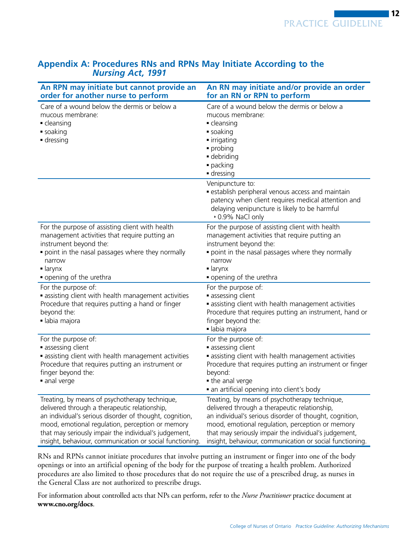| An RPN may initiate but cannot provide an<br>order for another nurse to perform                                                                                                                                                                                                                                                     | An RN may initiate and/or provide an order<br>for an RN or RPN to perform                                                                                                                                                                                                                                                           |
|-------------------------------------------------------------------------------------------------------------------------------------------------------------------------------------------------------------------------------------------------------------------------------------------------------------------------------------|-------------------------------------------------------------------------------------------------------------------------------------------------------------------------------------------------------------------------------------------------------------------------------------------------------------------------------------|
| Care of a wound below the dermis or below a<br>mucous membrane:<br>• cleansing<br>soaking<br>dressing                                                                                                                                                                                                                               | Care of a wound below the dermis or below a<br>mucous membrane:<br>- cleansing<br>soaking<br>• irrigating<br>· probing<br>· debriding<br>· packing<br>dressing                                                                                                                                                                      |
|                                                                                                                                                                                                                                                                                                                                     | Venipuncture to:<br>· establish peripheral venous access and maintain<br>patency when client requires medical attention and<br>delaying venipuncture is likely to be harmful<br>• 0.9% NaCl only                                                                                                                                    |
| For the purpose of assisting client with health<br>management activities that require putting an<br>instrument beyond the:<br>point in the nasal passages where they normally<br>narrow<br>$\blacksquare$ larynx<br>• opening of the urethra                                                                                        | For the purpose of assisting client with health<br>management activities that require putting an<br>instrument beyond the:<br>point in the nasal passages where they normally<br>narrow<br>$\blacksquare$ larynx<br>• opening of the urethra                                                                                        |
| For the purpose of:<br>• assisting client with health management activities<br>Procedure that requires putting a hand or finger<br>beyond the:<br>· labia majora                                                                                                                                                                    | For the purpose of:<br>assessing client<br>• assisting client with health management activities<br>Procedure that requires putting an instrument, hand or<br>finger beyond the:<br>· labia majora                                                                                                                                   |
| For the purpose of:<br>assessing client<br>• assisting client with health management activities<br>Procedure that requires putting an instrument or<br>finger beyond the:<br>anal verge                                                                                                                                             | For the purpose of:<br>assessing client<br>• assisting client with health management activities<br>Procedure that requires putting an instrument or finger<br>beyond:<br>• the anal verge<br>• an artificial opening into client's body                                                                                             |
| Treating, by means of psychotherapy technique,<br>delivered through a therapeutic relationship,<br>an individual's serious disorder of thought, cognition,<br>mood, emotional regulation, perception or memory<br>that may seriously impair the individual's judgement,<br>insight, behaviour, communication or social functioning. | Treating, by means of psychotherapy technique,<br>delivered through a therapeutic relationship,<br>an individual's serious disorder of thought, cognition,<br>mood, emotional regulation, perception or memory<br>that may seriously impair the individual's judgement,<br>insight, behaviour, communication or social functioning. |

# **Appendix A: Procedures RNs and RPNs May Initiate According to the**  *Nursing Act, 1991*

RNs and RPNs cannot initiate procedures that involve putting an instrument or finger into one of the body openings or into an artificial opening of the body for the purpose of treating a health problem. Authorized procedures are also limited to those procedures that do not require the use of a prescribed drug, as nurses in the General Class are not authorized to prescribe drugs.

For information about controlled acts that NPs can perform, refer to the *Nurse Practitioner* practice document at **www.cno.org/docs**.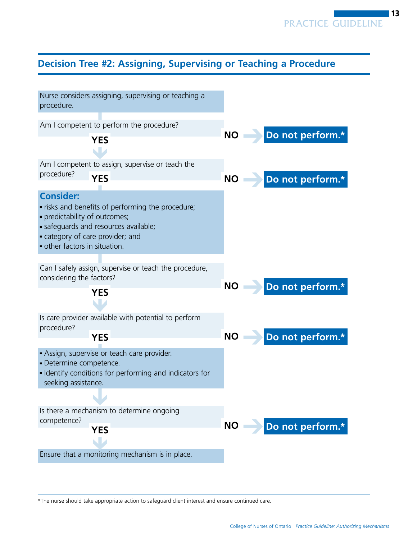# **Decision Tree #2: Assigning, Supervising or Teaching a Procedure**



\*The nurse should take appropriate action to safeguard client interest and ensure continued care.